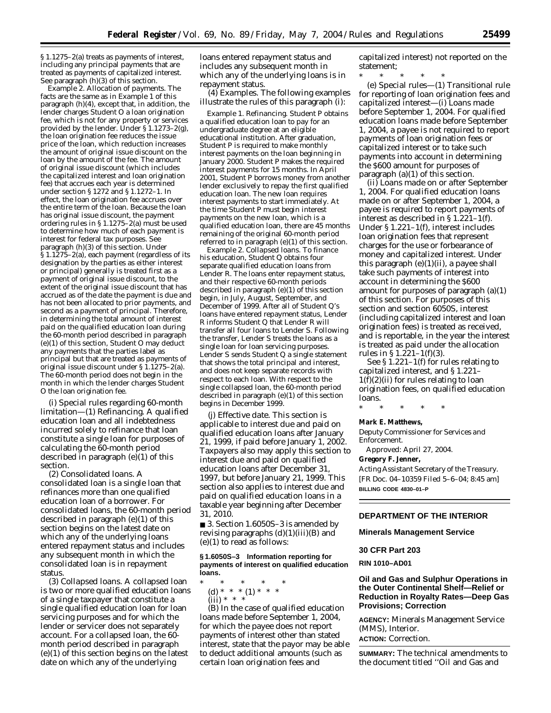§ 1.1275–2(a) treats as payments of interest, including any principal payments that are treated as payments of capitalized interest. See paragraph (h)(3) of this section.

*Example 2. Allocation of payments.* The facts are the same as in *Example 1* of this paragraph (h)(4), except that, in addition, the lender charges Student O a loan origination fee, which is not for any property or services provided by the lender. Under §1.1273-2(g), the loan origination fee reduces the issue price of the loan, which reduction increases the amount of original issue discount on the loan by the amount of the fee. The amount of original issue discount (which includes the capitalized interest and loan origination fee) that accrues each year is determined under section § 1272 and § 1.1272–1. In effect, the loan origination fee accrues over the entire term of the loan. Because the loan has original issue discount, the payment ordering rules in § 1.1275–2(a) must be used to determine how much of each payment is interest for federal tax purposes. See paragraph (h)(3) of this section. Under § 1.1275–2(a), each payment (regardless of its designation by the parties as either interest or principal) generally is treated first as a payment of original issue discount, to the extent of the original issue discount that has accrued as of the date the payment is due and has not been allocated to prior payments, and second as a payment of principal. Therefore, in determining the total amount of interest paid on the qualified education loan during the 60-month period described in paragraph (e)(1) of this section, Student O may deduct any payments that the parties label as principal but that are treated as payments of original issue discount under § 1.1275–2(a). The 60-month period does not begin in the month in which the lender charges Student O the loan origination fee.

(i) *Special rules regarding 60-month limitation*—(1) *Refinancing.* A qualified education loan and all indebtedness incurred solely to refinance that loan constitute a single loan for purposes of calculating the 60-month period described in paragraph (e)(1) of this section.

(2) *Consolidated loans.* A consolidated loan is a single loan that refinances more than one qualified education loan of a borrower. For consolidated loans, the 60-month period described in paragraph (e)(1) of this section begins on the latest date on which any of the underlying loans entered repayment status and includes any subsequent month in which the consolidated loan is in repayment status.

(3) *Collapsed loans.* A collapsed loan is two or more qualified education loans of a single taxpayer that constitute a single qualified education loan for loan servicing purposes and for which the lender or servicer does not separately account. For a collapsed loan, the 60 month period described in paragraph (e)(1) of this section begins on the latest date on which any of the underlying

loans entered repayment status and includes any subsequent month in which any of the underlying loans is in repayment status.

(4) *Examples.* The following examples illustrate the rules of this paragraph (i):

*Example 1. Refinancing.* Student P obtains a qualified education loan to pay for an undergraduate degree at an eligible educational institution. After graduation, Student P is required to make monthly interest payments on the loan beginning in January 2000. Student P makes the required interest payments for 15 months. In April 2001, Student P borrows money from another lender exclusively to repay the first qualified education loan. The new loan requires interest payments to start immediately. At the time Student P must begin interest payments on the new loan, which is a qualified education loan, there are 45 months remaining of the original 60-month period referred to in paragraph (e)(1) of this section.

*Example 2. Collapsed loans.* To finance his education, Student Q obtains four separate qualified education loans from Lender R. The loans enter repayment status, and their respective 60-month periods described in paragraph (e)(1) of this section begin, in July, August, September, and December of 1999. After all of Student Q's loans have entered repayment status, Lender R informs Student Q that Lender R will transfer all four loans to Lender S. Following the transfer, Lender S treats the loans as a single loan for loan servicing purposes. Lender S sends Student Q a single statement that shows the total principal and interest, and does not keep separate records with respect to each loan. With respect to the single collapsed loan, the 60-month period described in paragraph (e)(1) of this section begins in December 1999.

(j) *Effective date.* This section is applicable to interest due and paid on qualified education loans after January 21, 1999, if paid before January 1, 2002. Taxpayers also may apply this section to interest due and paid on qualified education loans after December 31, 1997, but before January 21, 1999. This section also applies to interest due and paid on qualified education loans in a taxable year beginning after December 31, 2010.

■ 3. Section 1.6050S-3 is amended by revising paragraphs  $(d)(1)(iii)(B)$  and (e)(1) to read as follows:

### **§ 1.6050S–3 Information reporting for payments of interest on qualified education loans.**

\* \* \* \* \* (d) \* \* \* (1) \* \* \*  $(iii) * * * *$ 

(B) In the case of qualified education loans made before September 1, 2004, for which the payee does not report payments of interest other than stated interest, state that the payor may be able to deduct additional amounts (such as certain loan origination fees and

capitalized interest) not reported on the statement;

\* \* \* \* \* (e) *Special rules*—(1) *Transitional rule for reporting of loan origination fees and capitalized interest*—(i) *Loans made before September 1, 2004.* For qualified education loans made before September 1, 2004, a payee is not required to report payments of loan origination fees or capitalized interest or to take such payments into account in determining the \$600 amount for purposes of paragraph (a)(1) of this section.

(ii) *Loans made on or after September 1, 2004.* For qualified education loans made on or after September 1, 2004, a payee is required to report payments of interest as described in § 1.221–1(f). Under § 1.221–1(f), interest includes loan origination fees that represent charges for the use or forbearance of money and capitalized interest. Under this paragraph  $(e)(1)(ii)$ , a payee shall take such payments of interest into account in determining the \$600 amount for purposes of paragraph (a)(1) of this section. For purposes of this section and section 6050S, interest (including capitalized interest and loan origination fees) is treated as received, and is reportable, in the year the interest is treated as paid under the allocation rules in §  $1.221 - 1(f)(3)$ .

See § 1.221–1(f) for rules relating to capitalized interest, and § 1.221–  $1(f)(2)(ii)$  for rules relating to loan origination fees, on qualified education loans.

\* \* \* \* \*

#### **Mark E. Matthews,**

*Deputy Commissioner for Services and Enforcement.* 

Approved: April 27, 2004.

# **Gregory F. Jenner,**

*Acting Assistant Secretary of the Treasury.* [FR Doc. 04–10359 Filed 5–6–04; 8:45 am] **BILLING CODE 4830–01–P**

## **DEPARTMENT OF THE INTERIOR**

**Minerals Management Service** 

### **30 CFR Part 203**

**RIN 1010–AD01** 

**Oil and Gas and Sulphur Operations in the Outer Continental Shelf—Relief or Reduction in Royalty Rates—Deep Gas Provisions; Correction**

**AGENCY:** Minerals Management Service (MMS), Interior.

**ACTION:** Correction.

**SUMMARY:** The technical amendments to the document titled ''Oil and Gas and